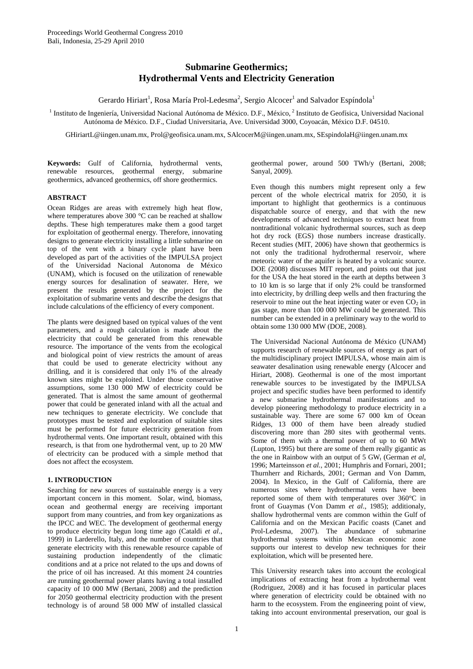# **Submarine Geothermics; Hydrothermal Vents and Electricity Generation**

Gerardo Hiriart<sup>1</sup>, Rosa María Prol-Ledesma<sup>2</sup>, Sergio Alcocer<sup>1</sup> and Salvador Espíndola<sup>1</sup>

<sup>1</sup> Instituto de Ingeniería, Universidad Nacional Autónoma de México. D.F., México, <sup>2</sup> Instituto de Geofísica, Universidad Nacional Autónoma de México. D.F., Ciudad Universitaria, Ave. Universidad 3000, Coyoacán, México D.F. 04510.

GHiriartL@iingen.unam.mx, Prol@geofisica.unam.mx, SAlcocerM@iingen.unam.mx, SEspindolaH@iingen.unam.mx

**Keywords:** Gulf of California, hydrothermal vents, renewable resources, geothermal energy, submarine geothermics, advanced geothermics, off shore geothermics.

# **ABSTRACT**

Ocean Ridges are areas with extremely high heat flow, where temperatures above 300 °C can be reached at shallow depths. These high temperatures make them a good target for exploitation of geothermal energy. Therefore, innovating designs to generate electricity installing a little submarine on top of the vent with a binary cycle plant have been developed as part of the activities of the IMPULSA project of the Universidad Nacional Autonoma de México (UNAM), which is focused on the utilization of renewable energy sources for desalination of seawater. Here, we present the results generated by the project for the exploitation of submarine vents and describe the designs that include calculations of the efficiency of every component.

The plants were designed based on typical values of the vent parameters, and a rough calculation is made about the electricity that could be generated from this renewable resource. The importance of the vents from the ecological and biological point of view restricts the amount of areas that could be used to generate electricity without any drilling, and it is considered that only 1% of the already known sites might be exploited. Under those conservative assumptions, some 130 000 MW of electricity could be generated. That is almost the same amount of geothermal power that could be generated inland with all the actual and new techniques to generate electricity. We conclude that prototypes must be tested and exploration of suitable sites must be performed for future electricity generation from hydrothermal vents. One important result, obtained with this research, is that from one hydrothermal vent, up to 20 MW of electricity can be produced with a simple method that does not affect the ecosystem.

## **1. INTRODUCTION**

Searching for new sources of sustainable energy is a very important concern in this moment. Solar, wind, biomass, ocean and geothermal energy are receiving important support from many countries, and from key organizations as the IPCC and WEC. The development of geothermal energy to produce electricity begun long time ago (Cataldi *et al*., 1999) in Larderello, Italy, and the number of countries that generate electricity with this renewable resource capable of sustaining production independently of the climatic conditions and at a price not related to the ups and downs of the price of oil has increased. At this moment 24 countries are running geothermal power plants having a total installed capacity of 10 000 MW (Bertani, 2008) and the prediction for 2050 geothermal electricity production with the present technology is of around 58 000 MW of installed classical geothermal power, around 500 TWh/y (Bertani, 2008; Sanyal, 2009).

Even though this numbers might represent only a few percent of the whole electrical matrix for 2050, it is important to highlight that geothermics is a continuous dispatchable source of energy, and that with the new developments of advanced techniques to extract heat from nontraditional volcanic hydrothermal sources, such as deep hot dry rock (EGS) those numbers increase drastically. Recent studies (MIT, 2006) have shown that geothermics is not only the traditional hydrothermal reservoir, where meteoric water of the aquifer is heated by a volcanic source. DOE (2008) discusses MIT report, and points out that just for the USA the heat stored in the earth at depths between 3 to 10 km is so large that if only 2% could be transformed into electricity, by drilling deep wells and then fracturing the reservoir to mine out the heat injecting water or even  $CO<sub>2</sub>$  in gas stage, more than 100 000 MW could be generated. This number can be extended in a preliminary way to the world to obtain some 130 000 MW (DOE, 2008).

The Universidad Nacional Autónoma de México (UNAM) supports research of renewable sources of energy as part of the multidisciplinary project IMPULSA, whose main aim is seawater desalination using renewable energy (Alcocer and Hiriart, 2008). Geothermal is one of the most important renewable sources to be investigated by the IMPULSA project and specific studies have been performed to identify a new submarine hydrothermal manifestations and to develop pioneering methodology to produce electricity in a sustainable way. There are some 67 000 km of Ocean Ridges, 13 000 of them have been already studied discovering more than 280 sites with geothermal vents. Some of them with a thermal power of up to 60 MWt (Lupton, 1995) but there are some of them really gigantic as the one in Rainbow with an output of  $5$  GW<sub>t</sub> (German *et al*, 1996; Marteinsson *et al.,* 2001; Humphris and Fornari, 2001; Thurnherr and Richards, 2001; German and Von Damm, 2004). In Mexico, in the Gulf of California, there are numerous sites where hydrothermal vents have been reported some of them with temperatures over 360°C in front of Guaymas (Von Damm *et al*., 1985); additionaly, shallow hydrothermal vents are common within the Gulf of California and on the Mexican Pacific coasts (Canet and Prol-Ledesma, 2007). The abundance of submarine hydrothermal systems within Mexican economic zone supports our interest to develop new techniques for their exploitation, which will be presented here.

This University research takes into account the ecological implications of extracting heat from a hydrothermal vent (Rodriguez, 2008) and it has focused in particular places where generation of electricity could be obtained with no harm to the ecosystem. From the engineering point of view, taking into account environmental preservation, our goal is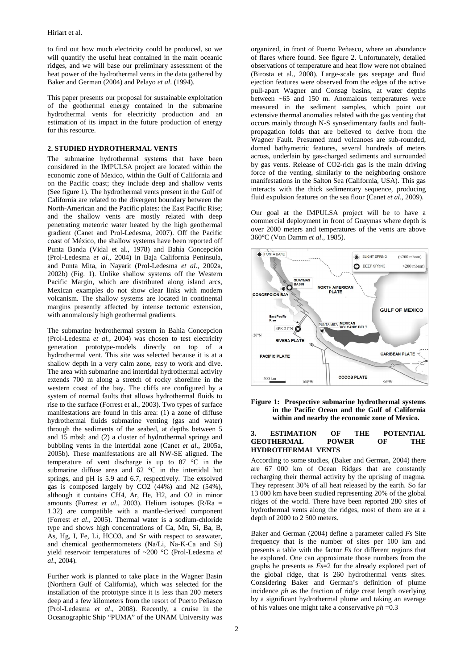to find out how much electricity could be produced, so we will quantify the useful heat contained in the main oceanic ridges, and we will base our preliminary assessment of the heat power of the hydrothermal vents in the data gathered by Baker and German (2004) and Pelayo *et al*. (1994).

This paper presents our proposal for sustainable exploitation of the geothermal energy contained in the submarine hydrothermal vents for electricity production and an estimation of its impact in the future production of energy for this resource.

## **2. STUDIED HYDROTHERMAL VENTS**

The submarine hydrothermal systems that have been considered in the IMPULSA project are located within the economic zone of Mexico, within the Gulf of California and on the Pacific coast; they include deep and shallow vents (See figure 1). The hydrothermal vents present in the Gulf of California are related to the divergent boundary between the North-American and the Pacific plates: the East Pacific Rise; and the shallow vents are mostly related with deep penetrating meteoric water heated by the high geothermal gradient (Canet and Prol-Ledesma, 2007). Off the Pacific coast of México, the shallow systems have been reported off Punta Banda (Vidal et al., 1978) and Bahía Concepción (Prol-Ledesma *et al*., 2004) in Baja California Peninsula, and Punta Mita, in Nayarit (Prol-Ledesma *et al.,* 2002a, 2002b) (Fig. 1). Unlike shallow systems off the Western Pacific Margin, which are distributed along island arcs, Mexican examples do not show clear links with modern volcanism. The shallow systems are located in continental margins presently affected by intense tectonic extension, with anomalously high geothermal gradients.

The submarine hydrothermal system in Bahia Concepcion (Prol-Ledesma *et al.,* 2004) was chosen to test electricity generation prototype-models directly on top of a hydrothermal vent. This site was selected because it is at a shallow depth in a very calm zone, easy to work and dive. The area with submarine and intertidal hydrothermal activity extends 700 m along a stretch of rocky shoreline in the western coast of the bay. The cliffs are configured by a system of normal faults that allows hydrothermal fluids to rise to the surface (Forrest et al., 2003). Two types of surface manifestations are found in this area: (1) a zone of diffuse hydrothermal fluids submarine venting (gas and water) through the sediments of the seabed, at depths between 5 and 15 mbsl; and (2) a cluster of hydrothermal springs and bubbling vents in the intertidal zone (Canet *et al*., 2005a, 2005b). These manifestations are all NW-SE aligned. The temperature of vent discharge is up to 87 °C in the submarine diffuse area and 62 °C in the intertidal hot springs, and pH is 5.9 and 6.7, respectively. The exsolved gas is composed largely by CO2 (44%) and N2 (54%), although it contains CH4, Ar, He, H2, and O2 in minor amounts (Forrest *et al*., 2003). Helium isotopes (R/Ra = 1.32) are compatible with a mantle-derived component (Forrest *et al*., 2005). Thermal water is a sodium-chloride type and shows high concentrations of Ca, Mn, Si, Ba, B, As, Hg, I, Fe, Li, HCO3, and Sr with respect to seawater, and chemical geothermometers (Na/Li, Na-K-Ca and Si) yield reservoir temperatures of ~200 °C (Prol-Ledesma *et al*., 2004).

Further work is planned to take place in the Wagner Basin (Northern Gulf of California), which was selected for the installation of the prototype since it is less than 200 meters deep and a few kilometers from the resort of Puerto Peñasco (Prol-Ledesma *et al*., 2008). Recently, a cruise in the Oceanographic Ship "PUMA" of the UNAM University was

organized, in front of Puerto Peñasco, where an abundance of flares where found. See figure 2. Unfortunately, detailed observations of temperature and heat flow were not obtained (Birosta et al., 2008). Large-scale gas seepage and fluid ejection features were observed from the edges of the active pull-apart Wagner and Consag basins, at water depths between ~65 and 150 m. Anomalous temperatures were measured in the sediment samples, which point out extensive thermal anomalies related with the gas venting that occurs mainly through N-S synsedimentary faults and faultpropagation folds that are believed to derive from the Wagner Fault. Presumed mud volcanoes are sub-rounded, domed bathymetric features, several hundreds of meters across, underlain by gas-charged sediments and surrounded by gas vents. Release of CO2-rich gas is the main driving force of the venting, similarly to the neighboring onshore manifestations in the Salton Sea (California, USA). This gas interacts with the thick sedimentary sequence, producing fluid expulsion features on the sea floor (Canet *et al*., 2009).

Our goal at the IMPULSA project will be to have a commercial deployment in front of Guaymas where depth is over 2000 meters and temperatures of the vents are above 360°C (Von Damm *et al*., 1985).



**Figure 1: Prospective submarine hydrothermal systems in the Pacific Ocean and the Gulf of California within and nearby the economic zone of Mexico.** 

#### **3. ESTIMATION OF THE POTENTIAL GEOTHERMAL POWER OF THE HYDROTHERMAL VENTS**

According to some studies, (Baker and German, 2004) there are 67 000 km of Ocean Ridges that are constantly recharging their thermal activity by the uprising of magma. They represent 30% of all heat released by the earth. So far 13 000 km have been studied representing 20% of the global ridges of the world. There have been reported 280 sites of hydrothermal vents along the ridges, most of them are at a depth of 2000 to 2 500 meters.

Baker and German (2004) define a parameter called *Fs* Site frequency that is the number of sites per 100 km and presents a table with the factor *Fs* for different regions that he explored. One can approximate those numbers from the graphs he presents as *Fs*=2 for the already explored part of the global ridge, that is 260 hydrothermal vents sites. Considering Baker and German's definition of plume incidence *ph* as the fraction of ridge crest length overlying by a significant hydrothermal plume and taking an average of his values one might take a conservative *ph* =0.3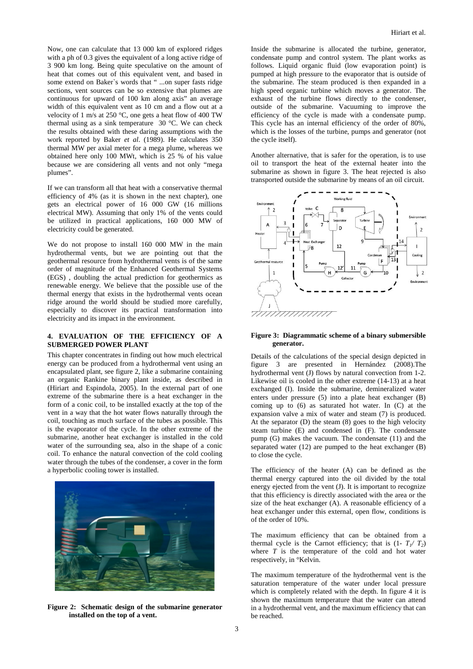Now, one can calculate that 13 000 km of explored ridges with a ph of 0.3 gives the equivalent of a long active ridge of 3 900 km long. Being quite speculative on the amount of heat that comes out of this equivalent vent, and based in some extend on Baker`s words that " ...on super fasts ridge sections, vent sources can be so extensive that plumes are continuous for upward of 100 km along axis" an average width of this equivalent vent as 10 cm and a flow out at a velocity of 1 m/s at 250 °C, one gets a heat flow of 400 TW thermal using as a sink temperature 30 °C. We can check the results obtained with these daring assumptions with the work reported by Baker *et al*. (1989). He calculates 350 thermal MW per axial meter for a mega plume, whereas we obtained here only 100 MWt, which is 25 % of his value because we are considering all vents and not only "mega plumes".

If we can transform all that heat with a conservative thermal efficiency of 4% (as it is shown in the next chapter), one gets an electrical power of 16 000 GW (16 millions electrical MW). Assuming that only 1% of the vents could be utilized in practical applications, 160 000 MW of electricity could be generated.

We do not propose to install 160 000 MW in the main hydrothermal vents, but we are pointing out that the geothermal resource from hydrothermal vents is of the same order of magnitude of the Enhanced Geothermal Systems (EGS) , doubling the actual prediction for geothermics as renewable energy. We believe that the possible use of the thermal energy that exists in the hydrothermal vents ocean ridge around the world should be studied more carefully, especially to discover its practical transformation into electricity and its impact in the environment.

## **4. EVALUATION OF THE EFFICIENCY OF A SUBMERGED POWER PLANT**

This chapter concentrates in finding out how much electrical energy can be produced from a hydrothermal vent using an encapsulated plant, see figure 2, like a submarine containing an organic Rankine binary plant inside, as described in (Hiriart and Espindola, 2005). In the external part of one extreme of the submarine there is a heat exchanger in the form of a conic coil, to be installed exactly at the top of the vent in a way that the hot water flows naturally through the coil, touching as much surface of the tubes as possible. This is the evaporator of the cycle. In the other extreme of the submarine, another heat exchanger is installed in the cold water of the surrounding sea, also in the shape of a conic coil. To enhance the natural convection of the cold cooling water through the tubes of the condenser, a cover in the form a hyperbolic cooling tower is installed.



**Figure 2: Schematic design of the submarine generator installed on the top of a vent.** 

Inside the submarine is allocated the turbine, generator, condensate pump and control system. The plant works as follows. Liquid organic fluid (low evaporation point) is pumped at high pressure to the evaporator that is outside of the submarine. The steam produced is then expanded in a high speed organic turbine which moves a generator. The exhaust of the turbine flows directly to the condenser, outside of the submarine. Vacuuming to improve the efficiency of the cycle is made with a condensate pump. This cycle has an internal efficiency of the order of 80%, which is the losses of the turbine, pumps and generator (not the cycle itself).

Another alternative, that is safer for the operation, is to use oil to transport the heat of the external heater into the submarine as shown in figure 3. The heat rejected is also transported outside the submarine by means of an oil circuit.



## **Figure 3: Diagrammatic scheme of a binary submersible generator.**

Details of the calculations of the special design depicted in figure 3 are presented in Hernández (2008).The hydrothermal vent (J) flows by natural convection from 1-2. Likewise oil is cooled in the other extreme (14-13) at a heat exchanged (I). Inside the submarine, demineralized water enters under pressure (5) into a plate heat exchanger (B) coming up to (6) as saturated hot water. In (C) at the expansion valve a mix of water and steam (7) is produced. At the separator (D) the steam (8) goes to the high velocity steam turbine (E) and condensed in (F). The condensate pump (G) makes the vacuum. The condensate (11) and the separated water (12) are pumped to the heat exchanger (B) to close the cycle.

The efficiency of the heater (A) can be defined as the thermal energy captured into the oil divided by the total energy ejected from the vent (J). It is important to recognize that this efficiency is directly associated with the area or the size of the heat exchanger (A). A reasonable efficiency of a heat exchanger under this external, open flow, conditions is of the order of 10%.

The maximum efficiency that can be obtained from a thermal cycle is the Carnot efficiency; that is  $(1 - T_1/T_2)$ where *T* is the temperature of the cold and hot water respectively, in °Kelvin.

The maximum temperature of the hydrothermal vent is the saturation temperature of the water under local pressure which is completely related with the depth. In figure 4 it is shown the maximum temperature that the water can attend in a hydrothermal vent, and the maximum efficiency that can be reached.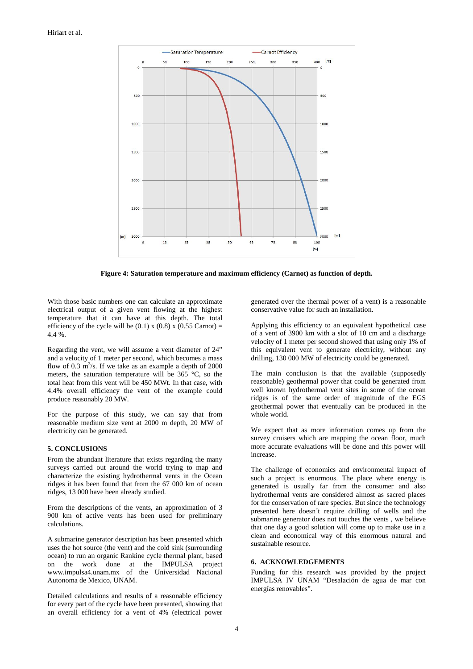

**Figure 4: Saturation temperature and maximum efficiency (Carnot) as function of depth.** 

With those basic numbers one can calculate an approximate electrical output of a given vent flowing at the highest temperature that it can have at this depth. The total efficiency of the cycle will be  $(0.1)$  x  $(0.8)$  x  $(0.55$  Carnot) = 4.4 %.

Regarding the vent, we will assume a vent diameter of 24" and a velocity of 1 meter per second, which becomes a mass flow of 0.3  $\text{m}^3$ /s. If we take as an example a depth of 2000 meters, the saturation temperature will be 365 °C, so the total heat from this vent will be 450 MWt. In that case, with 4.4% overall efficiency the vent of the example could produce reasonably 20 MW.

For the purpose of this study, we can say that from reasonable medium size vent at 2000 m depth, 20 MW of electricity can be generated.

## **5. CONCLUSIONS**

From the abundant literature that exists regarding the many surveys carried out around the world trying to map and characterize the existing hydrothermal vents in the Ocean ridges it has been found that from the 67 000 km of ocean ridges, 13 000 have been already studied.

From the descriptions of the vents, an approximation of 3 900 km of active vents has been used for preliminary calculations.

A submarine generator description has been presented which uses the hot source (the vent) and the cold sink (surrounding ocean) to run an organic Rankine cycle thermal plant, based on the work done at the IMPULSA project www.impulsa4.unam.mx of the Universidad Nacional Autonoma de Mexico, UNAM.

Detailed calculations and results of a reasonable efficiency for every part of the cycle have been presented, showing that an overall efficiency for a vent of 4% (electrical power generated over the thermal power of a vent) is a reasonable conservative value for such an installation.

Applying this efficiency to an equivalent hypothetical case of a vent of 3900 km with a slot of 10 cm and a discharge velocity of 1 meter per second showed that using only 1% of this equivalent vent to generate electricity, without any drilling, 130 000 MW of electricity could be generated.

The main conclusion is that the available (supposedly reasonable) geothermal power that could be generated from well known hydrothermal vent sites in some of the ocean ridges is of the same order of magnitude of the EGS geothermal power that eventually can be produced in the whole world.

We expect that as more information comes up from the survey cruisers which are mapping the ocean floor, much more accurate evaluations will be done and this power will increase.

The challenge of economics and environmental impact of such a project is enormous. The place where energy is generated is usually far from the consumer and also hydrothermal vents are considered almost as sacred places for the conservation of rare species. But since the technology presented here doesn´t require drilling of wells and the submarine generator does not touches the vents , we believe that one day a good solution will come up to make use in a clean and economical way of this enormous natural and sustainable resource.

## **6. ACKNOWLEDGEMENTS**

Funding for this research was provided by the project IMPULSA IV UNAM "Desalación de agua de mar con energías renovables".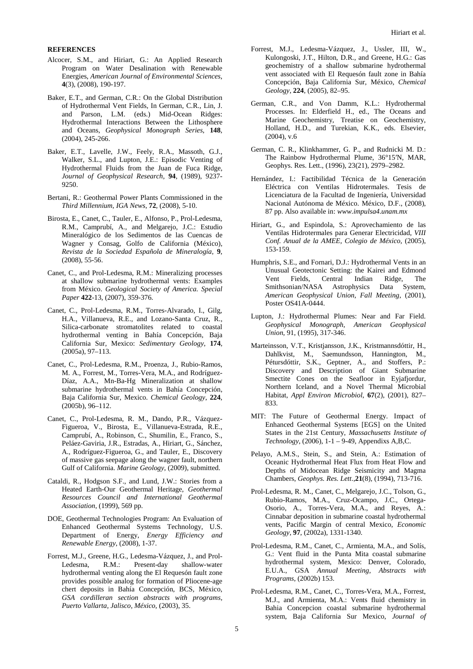## **REFERENCES**

- Alcocer, S.M., and Hiriart, G.: An Applied Research Program on Water Desalination with Renewable Energies, *American Journal of Environmental Sciences*, **4**(3), (2008), 190-197.
- Baker, E.T., and German, C.R.: On the Global Distribution of Hydrothermal Vent Fields, In German, C.R., Lin, J. and Parson, L.M. (eds.) Mid-Ocean Ridges: Hydrothermal Interactions Between the Lithosphere and Oceans, *Geophysical Monograph Series*, **148**, (2004), 245-266.
- Baker, E.T., Lavelle, J.W., Feely, R.A., Massoth, G.J., Walker, S.L., and Lupton, J.E.: Episodic Venting of Hydrothermal Fluids from the Juan de Fuca Ridge, *Journal of Geophysical Research,* **94**, (1989), 9237- 9250.
- Bertani, R.: Geothermal Power Plants Commissioned in the *Third Millennium, IGA News*, **72**, (2008), 5-10.
- Birosta, E., Canet, C., Tauler, E., Alfonso, P., Prol-Ledesma, R.M., Camprubí, A., and Melgarejo, J.C.: Estudio Mineralógico de los Sedimentos de las Cuencas de Wagner y Consag, Golfo de California (México), *Revista de la Sociedad Española de Mineralogía*, **9**, (2008), 55-56.
- Canet, C., and Prol-Ledesma, R.M.: Mineralizing processes at shallow submarine hydrothermal vents: Examples from México. *Geological Society of America. Special Paper* **422**-13, (2007), 359-376.
- Canet, C., Prol-Ledesma, R.M., Torres-Alvarado, I., Gilg, H.A., Villanueva, R.E., and Lozano-Santa Cruz, R., Silica-carbonate stromatolites related to coastal hydrothermal venting in Bahía Concepción, Baja California Sur, Mexico: *Sedimentary Geology*, **174**, (2005a), 97–113.
- Canet, C., Prol-Ledesma, R.M., Proenza, J., Rubio-Ramos, M. A., Forrest, M., Torres-Vera, M.A., and Rodríguez-Díaz, A.A., Mn-Ba-Hg Mineralization at shallow submarine hydrothermal vents in Bahía Concepción, Baja California Sur, Mexico. *Chemical Geology*, **224**, (2005b), 96–112.
- Canet, C., Prol-Ledesma, R. M., Dando, P.R., Vázquez-Figueroa, V., Birosta, E., Villanueva-Estrada, R.E., Camprubí, A., Robinson, C., Shumilin, E., Franco, S., Peláez-Gaviria, J.R., Estradas, A., Hiriart, G., Sánchez, A., Rodríguez-Figueroa, G., and Tauler, E., Discovery of massive gas seepage along the wagner fault, northern Gulf of California. *Marine Geology*, (2009), submitted.
- Cataldi, R., Hodgson S.F., and Lund, J.W.: Stories from a Heated Earth-Our Geothermal Heritage, *Geothermal Resources Council and International Geothermal Association*, (1999), 569 pp.
- DOE, Geothermal Technologies Program: An Evaluation of Enhanced Geothermal Systems Technology, U.S. Department of Energy, *Energy Efficiency and Renewable Energy*, (2008), 1-37.
- Forrest, M.J., Greene, H.G., Ledesma-Vázquez, J., and Prol-Ledesma, R.M.: Present-day shallow-water hydrothermal venting along the El Requesón fault zone provides possible analog for formation of Pliocene-age chert deposits in Bahía Concepción, BCS, México, *GSA cordilleran section abstracts with programs, Puerto Vallarta, Jalisco, México*, (2003), 35.
- Forrest, M.J., Ledesma-Vázquez, J., Ussler, III, W., Kulongoski, J.T., Hilton, D.R., and Greene, H.G.: Gas geochemistry of a shallow submarine hydrothermal vent associated with El Requesón fault zone in Bahía Concepción, Baja California Sur, México, *Chemical Geology*, **224**, (2005), 82–95.
- German, C.R., and Von Damm, K.L.: Hydrothermal Processes. In: Elderfield H., ed., The Oceans and Marine Geochemistry, Treatise on Geochemistry, Holland, H.D., and Turekian, K.K., eds. Elsevier, (2004), v.6
- German, C. R., Klinkhammer, G. P., and Rudnicki M. D.: The Rainbow Hydrothermal Plume, 36°15′N, MAR, Geophys. Res. Lett., (1996), 23(21), 2979–2982.
- Hernández, I.: Factibilidad Técnica de la Generación Eléctrica con Ventilas Hidrotermales. Tesis de Licenciatura de la Facultad de Ingeniería, Universidad Nacional Autónoma de México. México, D.F., (2008), 87 pp. Also available in: *www.impulsa4.unam.mx*
- Hiriart, G., and Espindola, S.: Aprovechamiento de las Ventilas Hidrotermales para Generar Electricidad, *VIII Conf. Anual de la AMEE, Colegio de México,* (2005), 153-159.
- Humphris, S.E., and Fornari, D.J.: Hydrothermal Vents in an Unusual Geotectonic Setting: the Kairei and Edmond Vent Fields, Central Indian Ridge, The Smithsonian/NASA Astrophysics Data System, *American Geophysical Union, Fall Meeting*, (2001), Poster OS41A-0444.
- Lupton, J.: Hydrothermal Plumes: Near and Far Field. *Geophysical Monograph*, *American Geophysical Union*, 91, (1995), 317-346.
- Marteinsson, V.T., Kristjansson, J.K., Kristmannsdóttir, H., Dahlkvist, M., Saemundsson, Hannington, M., Pétursdóttir, S.K., Geptner, A., and Stoffers, P.: Discovery and Description of Giant Submarine Smectite Cones on the Seafloor in Eyjafjordur, Northern Iceland, and a Novel Thermal Microbial Habitat, *Appl Environ Microbiol*, **67**(2), (2001), 827– 833.
- MIT: The Future of Geothermal Energy. Impact of Enhanced Geothermal Systems [EGS] on the United States in the 21st Century, *Massachusetts Institute of Technology*, (2006), 1-1 – 9-49, Appendixs A,B,C.
- Pelayo, A.M.S., Stein, S., and Stein, A.: Estimation of Oceanic Hydrothermal Heat Flux from Heat Flow and Depths of Midocean Ridge Seismicity and Magma Chambers, *Geophys. Res. Lett*.,**21**(8), (1994), 713-716.
- Prol-Ledesma, R. M., Canet, C., Melgarejo, J.C., Tolson, G., Rubio-Ramos, M.A., Cruz-Ocampo, J.C., Ortega-Osorio, A., Torres-Vera, M.A., and Reyes, A.: Cinnabar deposition in submarine coastal hydrothermal vents, Pacific Margin of central Mexico, *Economic Geology*, **97**, (2002a), 1331-1340.
- Prol-Ledesma, R.M., Canet, C., Armienta, M.A., and Solís, G.: Vent fluid in the Punta Mita coastal submarine hydrothermal system, Mexico: Denver, Colorado, E.U.A., GSA *Annual Meeting, Abstracts with Programs*, (2002b) 153.
- Prol-Ledesma, R.M., Canet, C., Torres-Vera, M.A., Forrest, M.J., and Armienta, M.A.: Vents fluid chemistry in Bahia Concepcion coastal submarine hydrothermal system, Baja California Sur Mexico, *Journal of*